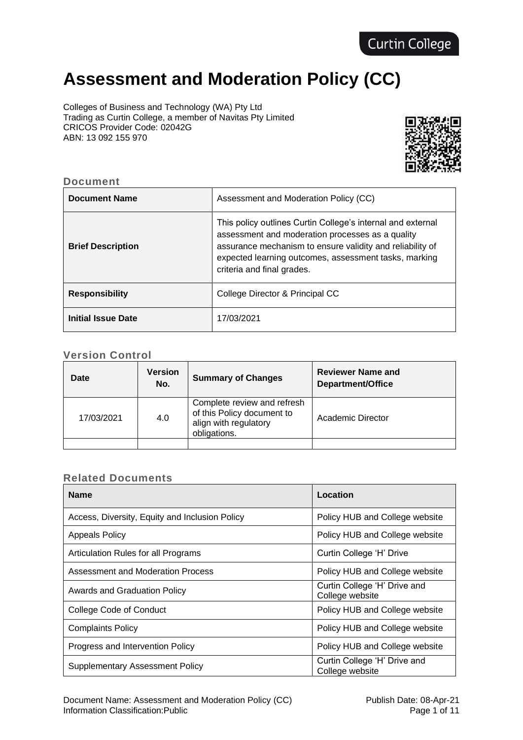# **Assessment and Moderation Policy (CC)**

Colleges of Business and Technology (WA) Pty Ltd Trading as Curtin College, a member of Navitas Pty Limited CRICOS Provider Code: 02042G ABN: 13 092 155 970



## **Document**

| <b>Document Name</b>      | Assessment and Moderation Policy (CC)                                                                                                                                                                                                                               |
|---------------------------|---------------------------------------------------------------------------------------------------------------------------------------------------------------------------------------------------------------------------------------------------------------------|
| <b>Brief Description</b>  | This policy outlines Curtin College's internal and external<br>assessment and moderation processes as a quality<br>assurance mechanism to ensure validity and reliability of<br>expected learning outcomes, assessment tasks, marking<br>criteria and final grades. |
| <b>Responsibility</b>     | College Director & Principal CC                                                                                                                                                                                                                                     |
| <b>Initial Issue Date</b> | 17/03/2021                                                                                                                                                                                                                                                          |

# **Version Control**

| <b>Date</b> | <b>Version</b><br>No. | <b>Summary of Changes</b>                                                                          | <b>Reviewer Name and</b><br>Department/Office |
|-------------|-----------------------|----------------------------------------------------------------------------------------------------|-----------------------------------------------|
| 17/03/2021  | 4.0                   | Complete review and refresh<br>of this Policy document to<br>align with regulatory<br>obligations. | Academic Director                             |
|             |                       |                                                                                                    |                                               |

# **Related Documents**

| <b>Name</b>                                    | Location                                        |
|------------------------------------------------|-------------------------------------------------|
| Access, Diversity, Equity and Inclusion Policy | Policy HUB and College website                  |
| <b>Appeals Policy</b>                          | Policy HUB and College website                  |
| Articulation Rules for all Programs            | Curtin College 'H' Drive                        |
| Assessment and Moderation Process              | Policy HUB and College website                  |
| Awards and Graduation Policy                   | Curtin College 'H' Drive and<br>College website |
| College Code of Conduct                        | Policy HUB and College website                  |
| <b>Complaints Policy</b>                       | Policy HUB and College website                  |
| Progress and Intervention Policy               | Policy HUB and College website                  |
| <b>Supplementary Assessment Policy</b>         | Curtin College 'H' Drive and<br>College website |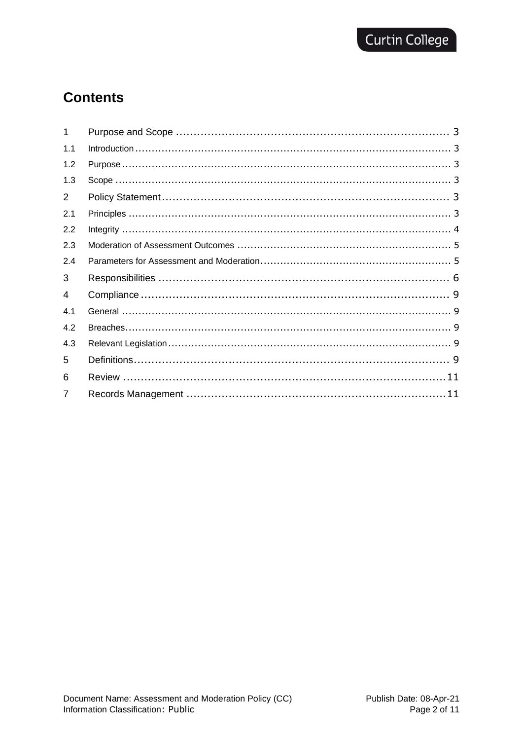# **Contents**

| 1              |  |
|----------------|--|
| 1.1            |  |
| 1.2            |  |
| 1.3            |  |
| 2              |  |
| 2.1            |  |
| 2.2            |  |
| 2.3            |  |
| 2.4            |  |
| 3              |  |
| 4              |  |
| 4.1            |  |
| 4.2            |  |
| 4.3            |  |
| 5              |  |
| 6              |  |
| $\overline{7}$ |  |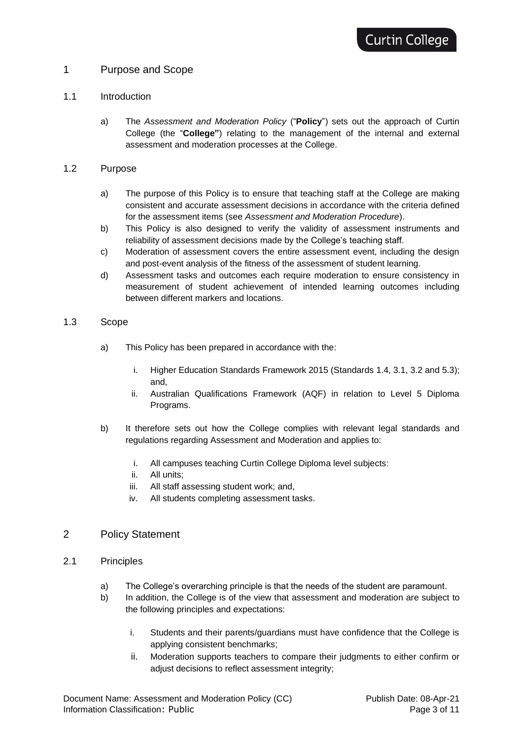## <span id="page-2-0"></span>1 Purpose and Scope

#### <span id="page-2-1"></span>1.1 Introduction

a) The *Assessment and Moderation Policy* ("**Policy**") sets out the approach of Curtin College (the "**College"**) relating to the management of the internal and external assessment and moderation processes at the College.

#### <span id="page-2-2"></span>1.2 Purpose

- a) The purpose of this Policy is to ensure that teaching staff at the College are making consistent and accurate assessment decisions in accordance with the criteria defined for the assessment items (see *Assessment and Moderation Procedure*).
- b) This Policy is also designed to verify the validity of assessment instruments and reliability of assessment decisions made by the College's teaching staff.
- c) Moderation of assessment covers the entire assessment event, including the design and post-event analysis of the fitness of the assessment of student learning.
- d) Assessment tasks and outcomes each require moderation to ensure consistency in measurement of student achievement of intended learning outcomes including between different markers and locations.

#### <span id="page-2-3"></span>1.3 Scope

- a) This Policy has been prepared in accordance with the:
	- i. Higher Education Standards Framework 2015 (Standards 1.4, 3.1, 3.2 and 5.3); and,
	- ii. Australian Qualifications Framework (AQF) in relation to Level 5 Diploma Programs.
- b) It therefore sets out how the College complies with relevant legal standards and regulations regarding Assessment and Moderation and applies to:
	- i. All campuses teaching Curtin College Diploma level subjects:
	- ii. All units;
	- iii. All staff assessing student work; and,
	- iv. All students completing assessment tasks.

### <span id="page-2-4"></span>2 Policy Statement

- <span id="page-2-5"></span>2.1 Principles
	- a) The College's overarching principle is that the needs of the student are paramount.
	- b) In addition, the College is of the view that assessment and moderation are subject to the following principles and expectations:
		- i. Students and their parents/guardians must have confidence that the College is applying consistent benchmarks;
		- ii. Moderation supports teachers to compare their judgments to either confirm or adjust decisions to reflect assessment integrity;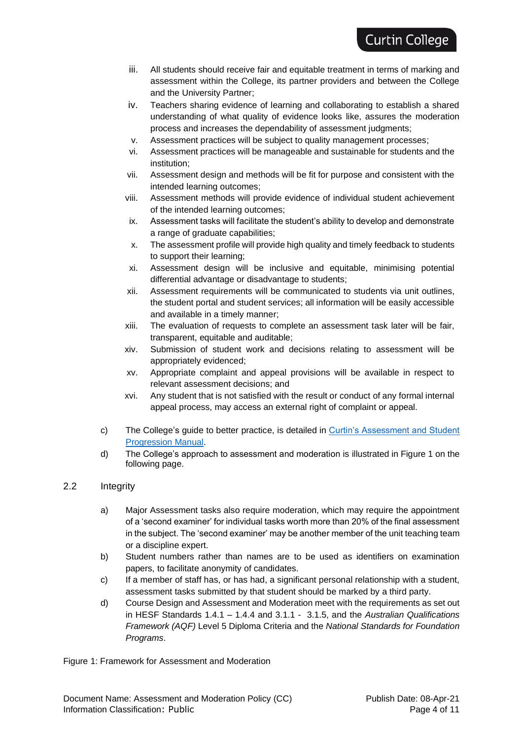- iii. All students should receive fair and equitable treatment in terms of marking and assessment within the College, its partner providers and between the College and the University Partner;
- iv. Teachers sharing evidence of learning and collaborating to establish a shared understanding of what quality of evidence looks like, assures the moderation process and increases the dependability of assessment judgments;
- v. Assessment practices will be subject to quality management processes;
- vi. Assessment practices will be manageable and sustainable for students and the institution;
- vii. Assessment design and methods will be fit for purpose and consistent with the intended learning outcomes;
- viii. Assessment methods will provide evidence of individual student achievement of the intended learning outcomes;
- ix. Assessment tasks will facilitate the student's ability to develop and demonstrate a range of graduate capabilities;
- x. The assessment profile will provide high quality and timely feedback to students to support their learning;
- xi. Assessment design will be inclusive and equitable, minimising potential differential advantage or disadvantage to students;
- xii. Assessment requirements will be communicated to students via unit outlines, the student portal and student services; all information will be easily accessible and available in a timely manner;
- xiii. The evaluation of requests to complete an assessment task later will be fair, transparent, equitable and auditable;
- xiv. Submission of student work and decisions relating to assessment will be appropriately evidenced;
- xv. Appropriate complaint and appeal provisions will be available in respect to relevant assessment decisions; and
- xvi. Any student that is not satisfied with the result or conduct of any formal internal appeal process, may access an external right of complaint or appeal.
- c) The College's guide to better practice, is detailed in [Curtin's Assessment and Student](https://policies.curtin.edu.au/findapolicy/)  [Progression Manual.](https://policies.curtin.edu.au/findapolicy/)
- d) The College's approach to assessment and moderation is illustrated in Figure 1 on the following page.

### <span id="page-3-0"></span>2.2 Integrity

- a) Major Assessment tasks also require moderation, which may require the appointment of a 'second examiner' for individual tasks worth more than 20% of the final assessment in the subject. The 'second examiner' may be another member of the unit teaching team or a discipline expert.
- b) Student numbers rather than names are to be used as identifiers on examination papers, to facilitate anonymity of candidates.
- c) If a member of staff has, or has had, a significant personal relationship with a student, assessment tasks submitted by that student should be marked by a third party.
- d) Course Design and Assessment and Moderation meet with the requirements as set out in HESF Standards 1.4.1 – 1.4.4 and 3.1.1 - 3.1.5, and the *Australian Qualifications Framework (AQF)* Level 5 Diploma Criteria and the *National Standards for Foundation Programs*.

Figure 1: Framework for Assessment and Moderation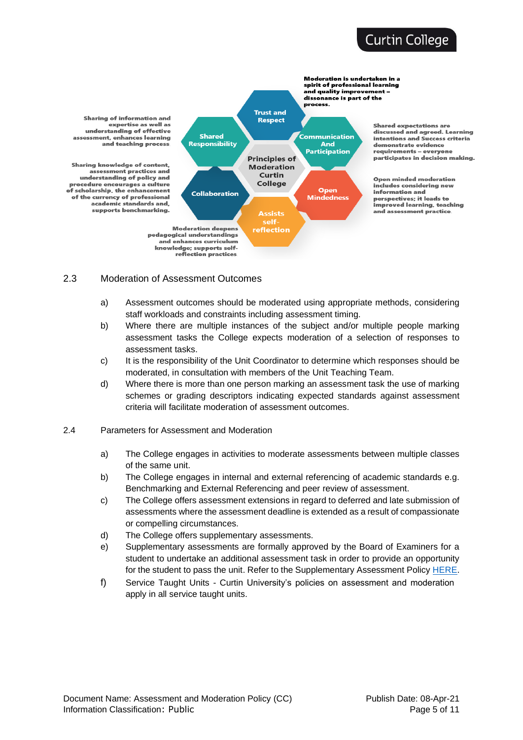# **Curtin College**



#### <span id="page-4-0"></span>2.3 Moderation of Assessment Outcomes

- a) Assessment outcomes should be moderated using appropriate methods, considering staff workloads and constraints including assessment timing.
- b) Where there are multiple instances of the subject and/or multiple people marking assessment tasks the College expects moderation of a selection of responses to assessment tasks.
- c) It is the responsibility of the Unit Coordinator to determine which responses should be moderated, in consultation with members of the Unit Teaching Team.
- d) Where there is more than one person marking an assessment task the use of marking schemes or grading descriptors indicating expected standards against assessment criteria will facilitate moderation of assessment outcomes.
- <span id="page-4-1"></span>2.4 Parameters for Assessment and Moderation
	- a) The College engages in activities to moderate assessments between multiple classes of the same unit.
	- b) The College engages in internal and external referencing of academic standards e.g. Benchmarking and External Referencing and peer review of assessment.
	- c) The College offers assessment extensions in regard to deferred and late submission of assessments where the assessment deadline is extended as a result of compassionate or compelling circumstances.
	- d) The College offers supplementary assessments.
	- e) Supplementary assessments are formally approved by the Board of Examiners for a student to undertake an additional assessment task in order to provide an opportunity for the student to pass the unit. Refer to the Supplementary Assessment Policy [HERE.](https://www.curtincollege.edu.au/about-curtin-college/policies-procedures/)
	- f) Service Taught Units Curtin University's policies on assessment and moderation apply in all service taught units.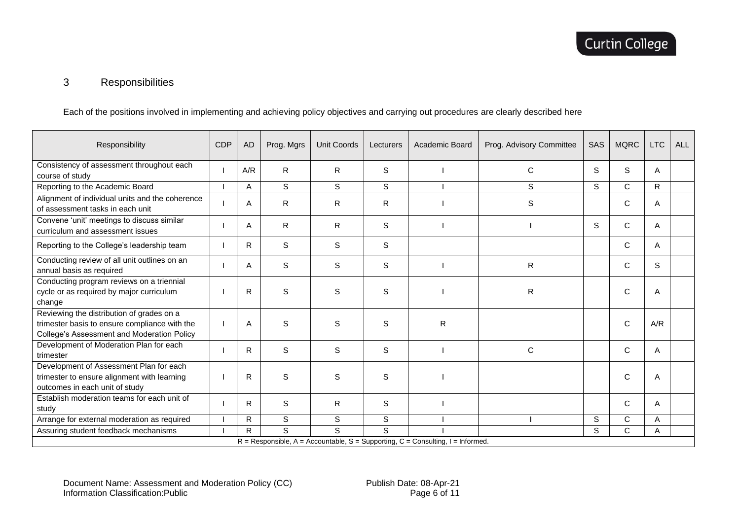# 3 Responsibilities

Each of the positions involved in implementing and achieving policy objectives and carrying out procedures are clearly described here

<span id="page-5-0"></span>

| Responsibility                                                                                                                           | <b>CDP</b> | <b>AD</b>    | Prog. Mgrs   | Unit Coords  | Lecturers | Academic Board | Prog. Advisory Committee | SAS | <b>MQRC</b>  | <b>LTC</b>   | <b>ALL</b> |
|------------------------------------------------------------------------------------------------------------------------------------------|------------|--------------|--------------|--------------|-----------|----------------|--------------------------|-----|--------------|--------------|------------|
| Consistency of assessment throughout each<br>course of study                                                                             |            | A/R          | $\mathsf{R}$ | $\mathsf{R}$ | S         |                | C                        | S   | S            | A            |            |
| Reporting to the Academic Board                                                                                                          |            | A            | S            | S            | S         |                | S                        | S   | $\mathsf{C}$ | $\mathsf{R}$ |            |
| Alignment of individual units and the coherence<br>of assessment tasks in each unit                                                      |            | Α            | $\mathsf{R}$ | ${\sf R}$    | R         |                | S                        |     | $\mathsf C$  | Α            |            |
| Convene 'unit' meetings to discuss similar<br>curriculum and assessment issues                                                           |            | A            | $\mathsf{R}$ | R            | S         |                |                          | S   | C            | A            |            |
| Reporting to the College's leadership team                                                                                               |            | R            | S            | S            | S         |                |                          |     | C            | A            |            |
| Conducting review of all unit outlines on an<br>annual basis as required                                                                 |            | A            | S            | $\mathbb S$  | S         |                | $\mathsf{R}$             |     | C            | S            |            |
| Conducting program reviews on a triennial<br>cycle or as required by major curriculum<br>change                                          |            | R            | S            | S            | S         |                | $\mathsf{R}$             |     | C            | A            |            |
| Reviewing the distribution of grades on a<br>trimester basis to ensure compliance with the<br>College's Assessment and Moderation Policy |            | Α            | S            | $\mathbb S$  | S         | $\mathsf{R}$   |                          |     | C            | A/R          |            |
| Development of Moderation Plan for each<br>trimester                                                                                     |            | $\mathsf{R}$ | $\mathbf S$  | S            | S         |                | $\mathsf{C}$             |     | C            | A            |            |
| Development of Assessment Plan for each<br>trimester to ensure alignment with learning<br>outcomes in each unit of study                 |            | R            | S            | S            | S         |                |                          |     | C            | A            |            |
| Establish moderation teams for each unit of<br>study                                                                                     |            | R            | S            | R.           | S         |                |                          |     | C            | A            |            |
| Arrange for external moderation as required                                                                                              |            | R            | S            | $\mathbb S$  | S         |                |                          | S   | C            | A            |            |
| Assuring student feedback mechanisms                                                                                                     |            | $\mathsf{R}$ | S            | s            | S         |                |                          | S   | C            | A            |            |
| $R =$ Responsible, A = Accountable, S = Supporting, C = Consulting, I = Informed.                                                        |            |              |              |              |           |                |                          |     |              |              |            |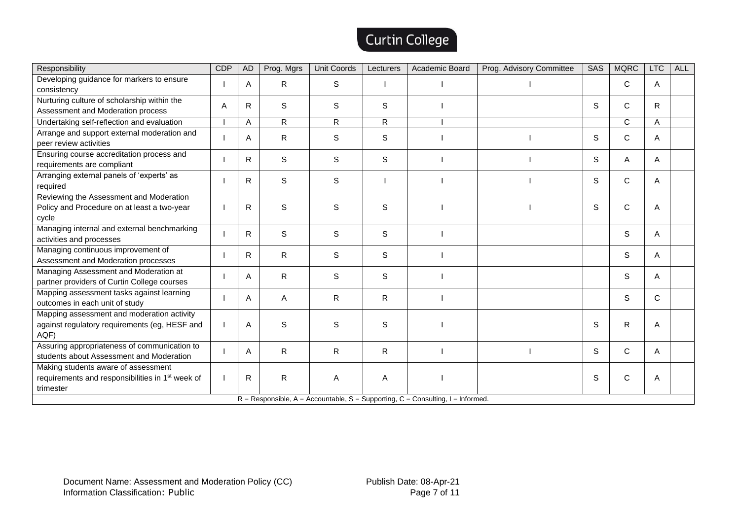# Curtin College

| Responsibility                                                                                                   | <b>CDP</b> | <b>AD</b>    | Prog. Mgrs   | <b>Unit Coords</b> | Lecturers    | Academic Board | Prog. Advisory Committee | <b>SAS</b> | <b>MQRC</b> | <b>LTC</b>   | <b>ALL</b> |
|------------------------------------------------------------------------------------------------------------------|------------|--------------|--------------|--------------------|--------------|----------------|--------------------------|------------|-------------|--------------|------------|
| Developing guidance for markers to ensure<br>consistency                                                         |            | A            | R.           | $\mathbb S$        |              |                |                          |            | C           | Α            |            |
| Nurturing culture of scholarship within the<br>Assessment and Moderation process                                 | A          | $\mathsf{R}$ | S            | S                  | S            |                |                          | S          | C           | $\mathsf{R}$ |            |
| Undertaking self-reflection and evaluation                                                                       |            | A            | $\mathsf{R}$ | $\mathsf{R}$       | $\mathsf{R}$ |                |                          |            | C.          | A            |            |
| Arrange and support external moderation and<br>peer review activities                                            |            | Α            | R            | S                  | S            |                |                          | S          | С           | Α            |            |
| Ensuring course accreditation process and<br>requirements are compliant                                          |            | R            | $\mathbb S$  | S                  | S            |                |                          | S          | Α           | Α            |            |
| Arranging external panels of 'experts' as<br>required                                                            |            | R            | $\mathbb S$  | $\mathbb S$        |              |                |                          | S          | C           | Α            |            |
| Reviewing the Assessment and Moderation<br>Policy and Procedure on at least a two-year<br>cycle                  |            | R            | $\mathbb S$  | S                  | S            |                |                          | S          | C           | Α            |            |
| Managing internal and external benchmarking<br>activities and processes                                          |            | $\mathsf{R}$ | S            | S                  | S            |                |                          |            | S           | A            |            |
| Managing continuous improvement of<br>Assessment and Moderation processes                                        |            | R            | R            | S                  | S            |                |                          |            | S           | Α            |            |
| Managing Assessment and Moderation at<br>partner providers of Curtin College courses                             |            | Α            | R            | S                  | S            |                |                          |            | S           | Α            |            |
| Mapping assessment tasks against learning<br>outcomes in each unit of study                                      |            | Α            | Α            | R                  | R            |                |                          |            | S           | C            |            |
| Mapping assessment and moderation activity<br>against regulatory requirements (eg, HESF and<br>AQF)              |            | A            | S            | S                  | S            |                |                          | S          | R           | Α            |            |
| Assuring appropriateness of communication to<br>students about Assessment and Moderation                         |            | Α            | R            | R                  | R            |                |                          | S          | C           | Α            |            |
| Making students aware of assessment<br>requirements and responsibilities in 1 <sup>st</sup> week of<br>trimester |            | $\mathsf{R}$ | $\mathsf{R}$ | A                  | A            |                |                          | S          | C           | Α            |            |
| $R =$ Responsible, A = Accountable, S = Supporting, C = Consulting, I = Informed.                                |            |              |              |                    |              |                |                          |            |             |              |            |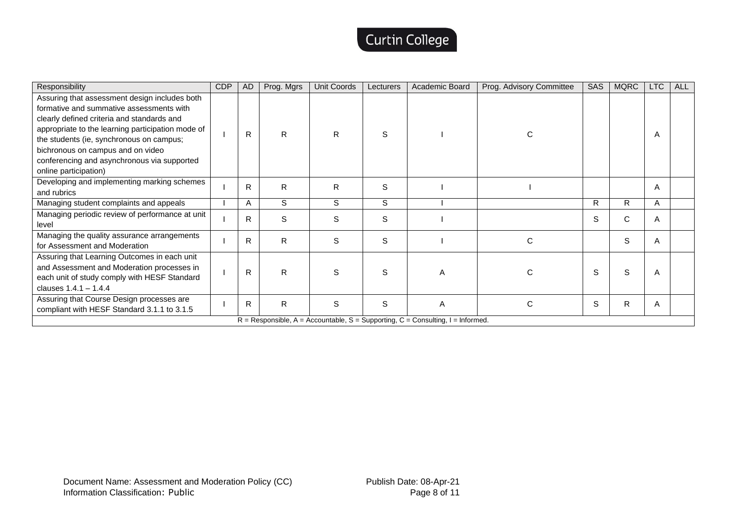# Curtin College

| Responsibility                                                                                                                                                                                                                                                                                                                                        | <b>CDP</b>                                                                        | <b>AD</b> | Prog. Mgrs   | <b>Unit Coords</b> | Lecturers | Academic Board | Prog. Advisory Committee | SAS | <b>MQRC</b> | LTC | <b>ALL</b> |
|-------------------------------------------------------------------------------------------------------------------------------------------------------------------------------------------------------------------------------------------------------------------------------------------------------------------------------------------------------|-----------------------------------------------------------------------------------|-----------|--------------|--------------------|-----------|----------------|--------------------------|-----|-------------|-----|------------|
| Assuring that assessment design includes both<br>formative and summative assessments with<br>clearly defined criteria and standards and<br>appropriate to the learning participation mode of<br>the students (ie, synchronous on campus;<br>bichronous on campus and on video<br>conferencing and asynchronous via supported<br>online participation) |                                                                                   | R         | R            | R.                 | S         |                | С                        |     |             | Α   |            |
| Developing and implementing marking schemes<br>and rubrics                                                                                                                                                                                                                                                                                            |                                                                                   | R         | R            | R.                 | S         |                |                          |     |             | Α   |            |
| Managing student complaints and appeals                                                                                                                                                                                                                                                                                                               |                                                                                   | A         | S            | S                  | S         |                |                          | R   | R           | Α   |            |
| Managing periodic review of performance at unit<br>level                                                                                                                                                                                                                                                                                              |                                                                                   | R         | S            | S                  | S         |                |                          | S   | C           | Α   |            |
| Managing the quality assurance arrangements<br>for Assessment and Moderation                                                                                                                                                                                                                                                                          |                                                                                   | R.        | R            | S                  | S         |                | C                        |     | S           | Α   |            |
| Assuring that Learning Outcomes in each unit<br>and Assessment and Moderation processes in<br>each unit of study comply with HESF Standard<br>clauses $1.4.1 - 1.4.4$                                                                                                                                                                                 |                                                                                   | R         | R            | S                  | S         | A              |                          | S   | S           | Α   |            |
| Assuring that Course Design processes are<br>compliant with HESF Standard 3.1.1 to 3.1.5                                                                                                                                                                                                                                                              |                                                                                   | R         | $\mathsf{R}$ | S                  | S         | A              | C                        | S   | R           | Α   |            |
|                                                                                                                                                                                                                                                                                                                                                       | $R =$ Responsible, A = Accountable, S = Supporting, C = Consulting, I = Informed. |           |              |                    |           |                |                          |     |             |     |            |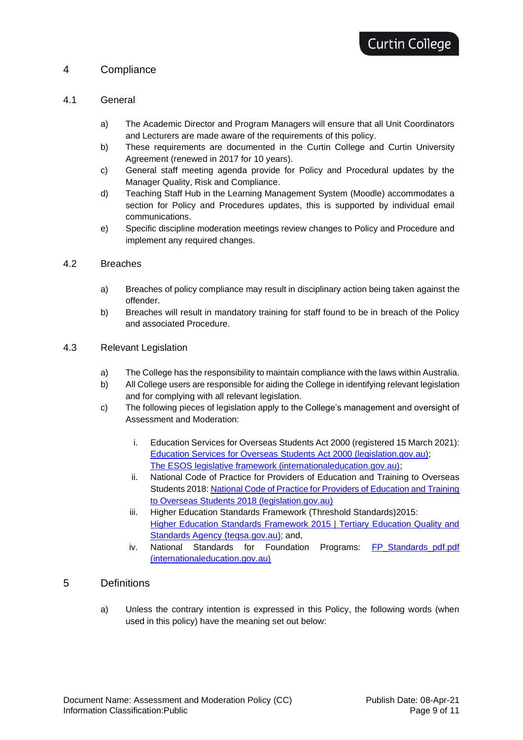## <span id="page-8-0"></span>4 Compliance

### <span id="page-8-1"></span>4.1 General

- a) The Academic Director and Program Managers will ensure that all Unit Coordinators and Lecturers are made aware of the requirements of this policy.
- b) These requirements are documented in the Curtin College and Curtin University Agreement (renewed in 2017 for 10 years).
- c) General staff meeting agenda provide for Policy and Procedural updates by the Manager Quality, Risk and Compliance.
- d) Teaching Staff Hub in the Learning Management System (Moodle) accommodates a section for Policy and Procedures updates, this is supported by individual email communications.
- e) Specific discipline moderation meetings review changes to Policy and Procedure and implement any required changes.

### <span id="page-8-2"></span>4.2 Breaches

- a) Breaches of policy compliance may result in disciplinary action being taken against the offender.
- b) Breaches will result in mandatory training for staff found to be in breach of the Policy and associated Procedure.
- <span id="page-8-3"></span>4.3 Relevant Legislation
	- a) The College has the responsibility to maintain compliance with the laws within Australia.
	- b) All College users are responsible for aiding the College in identifying relevant legislation and for complying with all relevant legislation.
	- c) The following pieces of legislation apply to the College's management and oversight of Assessment and Moderation:
		- i. Education Services for Overseas Students Act 2000 (registered 15 March 2021): [Education Services for Overseas Students Act 2000 \(legislation.gov.au\);](https://www.legislation.gov.au/Details/C2021C00143) [The ESOS legislative framework \(internationaleducation.gov.au\);](https://internationaleducation.gov.au/regulatory-information/Education-Services-for-Overseas-Students-ESOS-Legislative-Framework/ESOS-Regulations/Pages/default.aspx)
		- ii. National Code of Practice for Providers of Education and Training to Overseas Students 2018: [National Code of Practice for Providers of Education and Training](https://www.legislation.gov.au/Details/F2017L01182)  [to Overseas Students 2018 \(legislation.gov.au\)](https://www.legislation.gov.au/Details/F2017L01182)
		- iii. Higher Education Standards Framework (Threshold Standards) 2015: Higher Education Standards Framework 2015 | Tertiary Education Quality and Standards Agency (tegsa.gov.au); and,
		- iv. National Standards for Foundation Programs: FP Standards pdf.pdf [\(internationaleducation.gov.au\)](https://internationaleducation.gov.au/Regulatory-Information/Education-Services-for-Overseas-Students-ESOS-Legislative-Framework/ESOS-Regulations/Documents/FP_Standards_pdf.pdf)

### <span id="page-8-4"></span>5 Definitions

a) Unless the contrary intention is expressed in this Policy, the following words (when used in this policy) have the meaning set out below: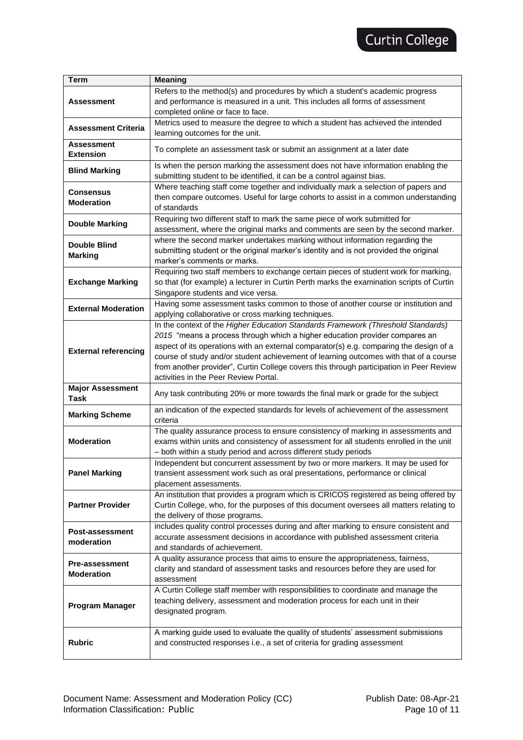| <b>Term</b>                                | <b>Meaning</b>                                                                                                                                                                                                                                                                                                                                                                                                                                                                         |  |  |  |  |  |  |
|--------------------------------------------|----------------------------------------------------------------------------------------------------------------------------------------------------------------------------------------------------------------------------------------------------------------------------------------------------------------------------------------------------------------------------------------------------------------------------------------------------------------------------------------|--|--|--|--|--|--|
| Assessment                                 | Refers to the method(s) and procedures by which a student's academic progress<br>and performance is measured in a unit. This includes all forms of assessment<br>completed online or face to face.                                                                                                                                                                                                                                                                                     |  |  |  |  |  |  |
| <b>Assessment Criteria</b>                 | Metrics used to measure the degree to which a student has achieved the intended<br>learning outcomes for the unit.                                                                                                                                                                                                                                                                                                                                                                     |  |  |  |  |  |  |
| <b>Assessment</b><br><b>Extension</b>      | To complete an assessment task or submit an assignment at a later date                                                                                                                                                                                                                                                                                                                                                                                                                 |  |  |  |  |  |  |
| <b>Blind Marking</b>                       | Is when the person marking the assessment does not have information enabling the<br>submitting student to be identified, it can be a control against bias.                                                                                                                                                                                                                                                                                                                             |  |  |  |  |  |  |
| <b>Consensus</b><br><b>Moderation</b>      | Where teaching staff come together and individually mark a selection of papers and<br>then compare outcomes. Useful for large cohorts to assist in a common understanding<br>of standards                                                                                                                                                                                                                                                                                              |  |  |  |  |  |  |
| <b>Double Marking</b>                      | Requiring two different staff to mark the same piece of work submitted for<br>assessment, where the original marks and comments are seen by the second marker.                                                                                                                                                                                                                                                                                                                         |  |  |  |  |  |  |
| <b>Double Blind</b><br><b>Marking</b>      | where the second marker undertakes marking without information regarding the<br>submitting student or the original marker's identity and is not provided the original<br>marker's comments or marks.                                                                                                                                                                                                                                                                                   |  |  |  |  |  |  |
| <b>Exchange Marking</b>                    | Requiring two staff members to exchange certain pieces of student work for marking,<br>so that (for example) a lecturer in Curtin Perth marks the examination scripts of Curtin<br>Singapore students and vice versa.                                                                                                                                                                                                                                                                  |  |  |  |  |  |  |
| <b>External Moderation</b>                 | Having some assessment tasks common to those of another course or institution and<br>applying collaborative or cross marking techniques.                                                                                                                                                                                                                                                                                                                                               |  |  |  |  |  |  |
| <b>External referencing</b>                | In the context of the Higher Education Standards Framework (Threshold Standards)<br>2015 "means a process through which a higher education provider compares an<br>aspect of its operations with an external comparator(s) e.g. comparing the design of a<br>course of study and/or student achievement of learning outcomes with that of a course<br>from another provider", Curtin College covers this through participation in Peer Review<br>activities in the Peer Review Portal. |  |  |  |  |  |  |
| <b>Major Assessment</b><br>Task            | Any task contributing 20% or more towards the final mark or grade for the subject                                                                                                                                                                                                                                                                                                                                                                                                      |  |  |  |  |  |  |
| <b>Marking Scheme</b>                      | an indication of the expected standards for levels of achievement of the assessment<br>criteria                                                                                                                                                                                                                                                                                                                                                                                        |  |  |  |  |  |  |
| <b>Moderation</b>                          | The quality assurance process to ensure consistency of marking in assessments and<br>exams within units and consistency of assessment for all students enrolled in the unit<br>- both within a study period and across different study periods                                                                                                                                                                                                                                         |  |  |  |  |  |  |
| <b>Panel Marking</b>                       | Independent but concurrent assessment by two or more markers. It may be used for<br>transient assessment work such as oral presentations, performance or clinical<br>placement assessments.                                                                                                                                                                                                                                                                                            |  |  |  |  |  |  |
| <b>Partner Provider</b>                    | An institution that provides a program which is CRICOS registered as being offered by<br>Curtin College, who, for the purposes of this document oversees all matters relating to<br>the delivery of those programs.                                                                                                                                                                                                                                                                    |  |  |  |  |  |  |
| Post-assessment<br>moderation              | includes quality control processes during and after marking to ensure consistent and<br>accurate assessment decisions in accordance with published assessment criteria<br>and standards of achievement.                                                                                                                                                                                                                                                                                |  |  |  |  |  |  |
| <b>Pre-assessment</b><br><b>Moderation</b> | A quality assurance process that aims to ensure the appropriateness, fairness,<br>clarity and standard of assessment tasks and resources before they are used for<br>assessment                                                                                                                                                                                                                                                                                                        |  |  |  |  |  |  |
| <b>Program Manager</b>                     | A Curtin College staff member with responsibilities to coordinate and manage the<br>teaching delivery, assessment and moderation process for each unit in their<br>designated program.                                                                                                                                                                                                                                                                                                 |  |  |  |  |  |  |
| <b>Rubric</b>                              | A marking guide used to evaluate the quality of students' assessment submissions<br>and constructed responses i.e., a set of criteria for grading assessment                                                                                                                                                                                                                                                                                                                           |  |  |  |  |  |  |